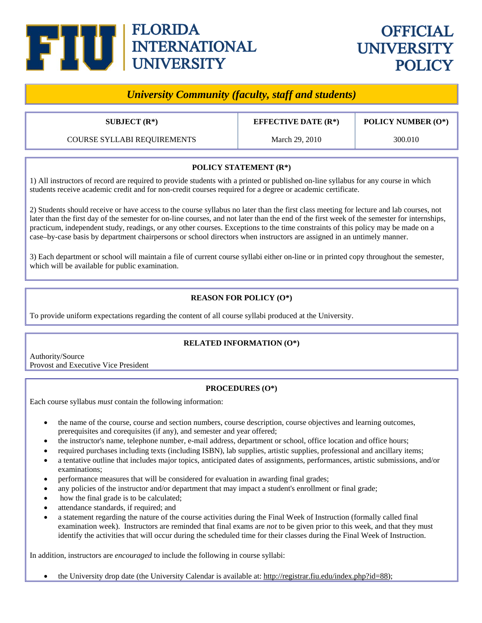# **FIUJ** ELORIDA<br>INTERNATIONAL<br>UNIVERSITY

## **OFFICIAL UNIVERSITY POLICY**

### *University Community (faculty, staff and students)*

COURSE SYLLABI REQUIREMENTS March 29, 2010 300.010

**SUBJECT (R\*) EFFECTIVE DATE (R\*) POLICY NUMBER (O\*)** 

#### **POLICY STATEMENT (R\*)**

1) All instructors of record are required to provide students with a printed or published on-line syllabus for any course in which students receive academic credit and for non-credit courses required for a degree or academic certificate.

2) Students should receive or have access to the course syllabus no later than the first class meeting for lecture and lab courses, not later than the first day of the semester for on-line courses, and not later than the end of the first week of the semester for internships, practicum, independent study, readings, or any other courses. Exceptions to the time constraints of this policy may be made on a case–by-case basis by department chairpersons or school directors when instructors are assigned in an untimely manner.

3) Each department or school will maintain a file of current course syllabi either on-line or in printed copy throughout the semester, which will be available for public examination.

#### **REASON FOR POLICY (O\*)**

To provide uniform expectations regarding the content of all course syllabi produced at the University.

#### **RELATED INFORMATION (O\*)**

Authority/Source Provost and Executive Vice President

#### **PROCEDURES (O\*)**

Each course syllabus *must* contain the following information:

- the name of the course, course and section numbers, course description, course objectives and learning outcomes, prerequisites and corequisites (if any), and semester and year offered;
- the instructor's name, telephone number, e-mail address, department or school, office location and office hours;
- required purchases including texts (including ISBN), lab supplies, artistic supplies, professional and ancillary items;
- a tentative outline that includes major topics, anticipated dates of assignments, performances, artistic submissions, and/or examinations;
- performance measures that will be considered for evaluation in awarding final grades;
- any policies of the instructor and/or department that may impact a student's enrollment or final grade;
- how the final grade is to be calculated;
- attendance standards, if required; and
- a statement regarding the nature of the course activities during the Final Week of Instruction (formally called final examination week). Instructors are reminded that final exams are *not* to be given prior to this week, and that they must identify the activities that will occur during the scheduled time for their classes during the Final Week of Instruction.

In addition, instructors are *encouraged* to include the following in course syllabi:

• the University drop date (the University Calendar is available at: http://registrar.fiu.edu/index.php?id=88);